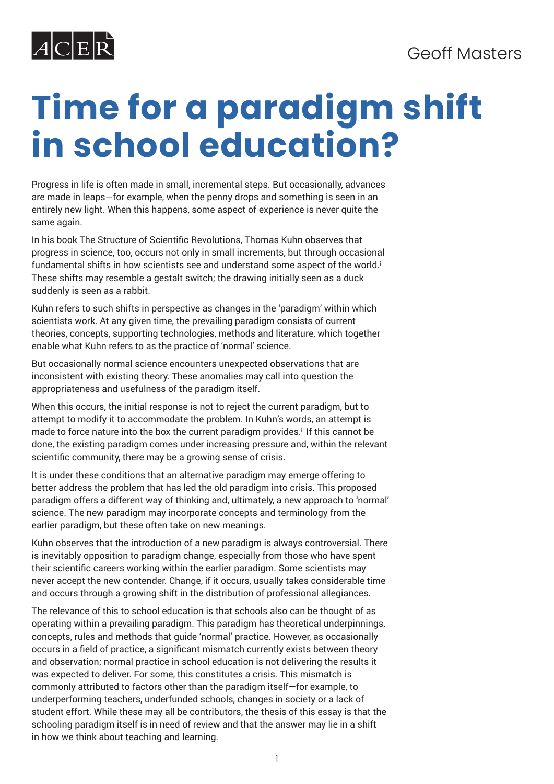

# **Time for a paradigm shift in school education?**

Progress in life is often made in small, incremental steps. But occasionally, advances are made in leaps—for example, when the penny drops and something is seen in an entirely new light. When this happens, some aspect of experience is never quite the same again.

In his book The Structure of Scientific Revolutions, Thomas Kuhn observes that progress in science, too, occurs not only in small increments, but through occasional fundamental shifts in how scientists see and understand some aspect of the world.<sup>i</sup> These shifts may resemble a gestalt switch; the drawing initially seen as a duck suddenly is seen as a rabbit.

Kuhn refers to such shifts in perspective as changes in the 'paradigm' within which scientists work. At any given time, the prevailing paradigm consists of current theories, concepts, supporting technologies, methods and literature, which together enable what Kuhn refers to as the practice of 'normal' science.

But occasionally normal science encounters unexpected observations that are inconsistent with existing theory. These anomalies may call into question the appropriateness and usefulness of the paradigm itself.

When this occurs, the initial response is not to reject the current paradigm, but to attempt to modify it to accommodate the problem. In Kuhn's words, an attempt is made to force nature into the box the current paradigm provides.<sup>ii</sup> If this cannot be done, the existing paradigm comes under increasing pressure and, within the relevant scientific community, there may be a growing sense of crisis.

It is under these conditions that an alternative paradigm may emerge offering to better address the problem that has led the old paradigm into crisis. This proposed paradigm offers a different way of thinking and, ultimately, a new approach to 'normal' science. The new paradigm may incorporate concepts and terminology from the earlier paradigm, but these often take on new meanings.

Kuhn observes that the introduction of a new paradigm is always controversial. There is inevitably opposition to paradigm change, especially from those who have spent their scientific careers working within the earlier paradigm. Some scientists may never accept the new contender. Change, if it occurs, usually takes considerable time and occurs through a growing shift in the distribution of professional allegiances.

The relevance of this to school education is that schools also can be thought of as operating within a prevailing paradigm. This paradigm has theoretical underpinnings, concepts, rules and methods that guide 'normal' practice. However, as occasionally occurs in a field of practice, a significant mismatch currently exists between theory and observation; normal practice in school education is not delivering the results it was expected to deliver. For some, this constitutes a crisis. This mismatch is commonly attributed to factors other than the paradigm itself—for example, to underperforming teachers, underfunded schools, changes in society or a lack of student effort. While these may all be contributors, the thesis of this essay is that the schooling paradigm itself is in need of review and that the answer may lie in a shift in how we think about teaching and learning.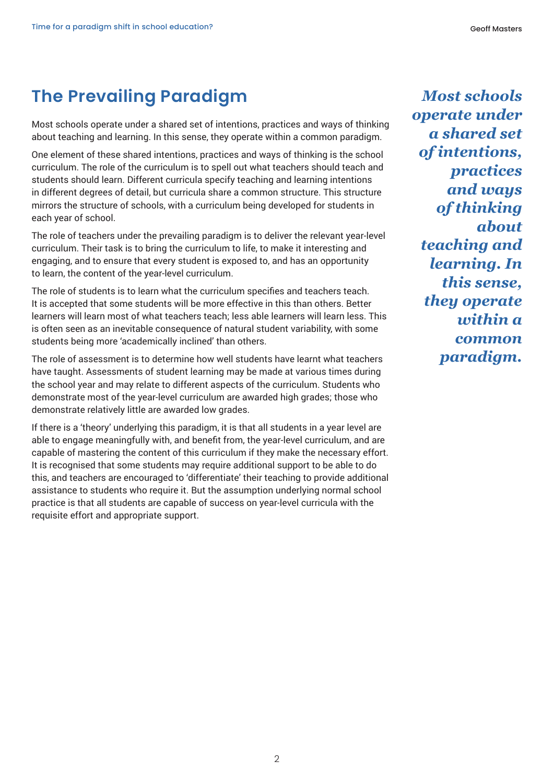# **The Prevailing Paradigm**

Most schools operate under a shared set of intentions, practices and ways of thinking about teaching and learning. In this sense, they operate within a common paradigm.

One element of these shared intentions, practices and ways of thinking is the school curriculum. The role of the curriculum is to spell out what teachers should teach and students should learn. Different curricula specify teaching and learning intentions in different degrees of detail, but curricula share a common structure. This structure mirrors the structure of schools, with a curriculum being developed for students in each year of school.

The role of teachers under the prevailing paradigm is to deliver the relevant year-level curriculum. Their task is to bring the curriculum to life, to make it interesting and engaging, and to ensure that every student is exposed to, and has an opportunity to learn, the content of the year-level curriculum.

The role of students is to learn what the curriculum specifies and teachers teach. It is accepted that some students will be more effective in this than others. Better learners will learn most of what teachers teach; less able learners will learn less. This is often seen as an inevitable consequence of natural student variability, with some students being more 'academically inclined' than others.

The role of assessment is to determine how well students have learnt what teachers have taught. Assessments of student learning may be made at various times during the school year and may relate to different aspects of the curriculum. Students who demonstrate most of the year-level curriculum are awarded high grades; those who demonstrate relatively little are awarded low grades.

If there is a 'theory' underlying this paradigm, it is that all students in a year level are able to engage meaningfully with, and benefit from, the year-level curriculum, and are capable of mastering the content of this curriculum if they make the necessary effort. It is recognised that some students may require additional support to be able to do this, and teachers are encouraged to 'differentiate' their teaching to provide additional assistance to students who require it. But the assumption underlying normal school practice is that all students are capable of success on year-level curricula with the requisite effort and appropriate support.

*Most schools operate under a shared set of intentions, practices and ways of thinking about teaching and learning. In this sense, they operate within a common paradigm.*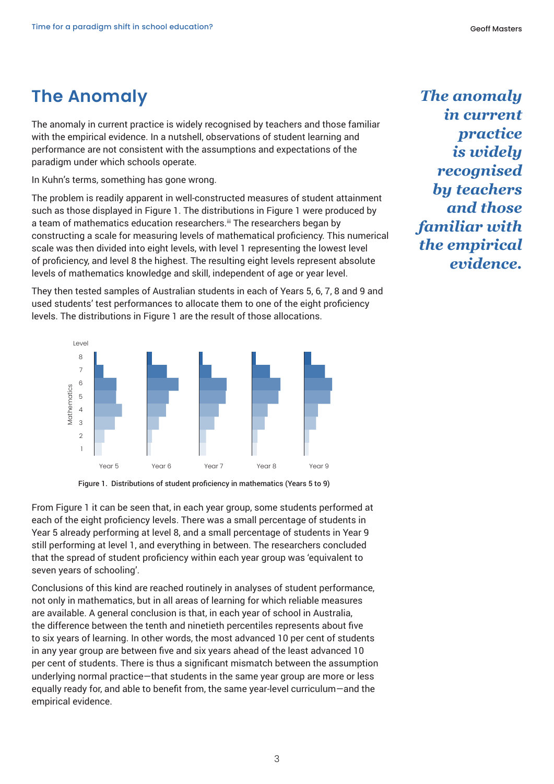## **The Anomaly**

The anomaly in current practice is widely recognised by teachers and those familiar with the empirical evidence. In a nutshell, observations of student learning and performance are not consistent with the assumptions and expectations of the paradigm under which schools operate.

In Kuhn's terms, something has gone wrong.

The problem is readily apparent in well-constructed measures of student attainment such as those displayed in Figure 1. The distributions in Figure 1 were produced by a team of mathematics education researchers.<sup>iii</sup> The researchers began by constructing a scale for measuring levels of mathematical proficiency. This numerical scale was then divided into eight levels, with level 1 representing the lowest level of proficiency, and level 8 the highest. The resulting eight levels represent absolute levels of mathematics knowledge and skill, independent of age or year level.

They then tested samples of Australian students in each of Years 5, 6, 7, 8 and 9 and used students' test performances to allocate them to one of the eight proficiency levels. The distributions in Figure 1 are the result of those allocations.





From Figure 1 it can be seen that, in each year group, some students performed at each of the eight proficiency levels. There was a small percentage of students in Year 5 already performing at level 8, and a small percentage of students in Year 9 still performing at level 1, and everything in between. The researchers concluded that the spread of student proficiency within each year group was 'equivalent to seven years of schooling'.

Conclusions of this kind are reached routinely in analyses of student performance, not only in mathematics, but in all areas of learning for which reliable measures are available. A general conclusion is that, in each year of school in Australia, the difference between the tenth and ninetieth percentiles represents about five to six years of learning. In other words, the most advanced 10 per cent of students in any year group are between five and six years ahead of the least advanced 10 per cent of students. There is thus a significant mismatch between the assumption underlying normal practice—that students in the same year group are more or less equally ready for, and able to benefit from, the same year-level curriculum—and the empirical evidence.

*The anomaly in current practice is widely recognised by teachers and those familiar with the empirical evidence.*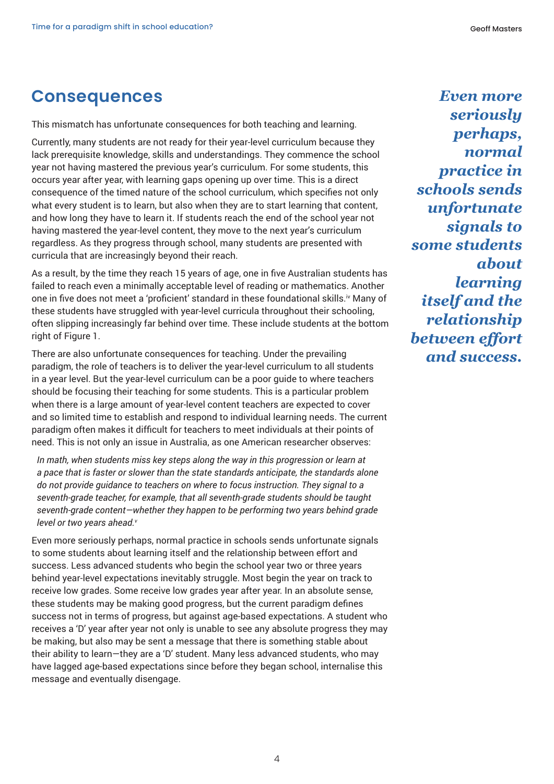## **Consequences**

This mismatch has unfortunate consequences for both teaching and learning.

Currently, many students are not ready for their year-level curriculum because they lack prerequisite knowledge, skills and understandings. They commence the school year not having mastered the previous year's curriculum. For some students, this occurs year after year, with learning gaps opening up over time. This is a direct consequence of the timed nature of the school curriculum, which specifies not only what every student is to learn, but also when they are to start learning that content, and how long they have to learn it. If students reach the end of the school year not having mastered the year-level content, they move to the next year's curriculum regardless. As they progress through school, many students are presented with curricula that are increasingly beyond their reach.

As a result, by the time they reach 15 years of age, one in five Australian students has failed to reach even a minimally acceptable level of reading or mathematics. Another one in five does not meet a 'proficient' standard in these foundational skills.<sup>iv</sup> Many of these students have struggled with year-level curricula throughout their schooling, often slipping increasingly far behind over time. These include students at the bottom right of Figure 1.

There are also unfortunate consequences for teaching. Under the prevailing paradigm, the role of teachers is to deliver the year-level curriculum to all students in a year level. But the year-level curriculum can be a poor guide to where teachers should be focusing their teaching for some students. This is a particular problem when there is a large amount of year-level content teachers are expected to cover and so limited time to establish and respond to individual learning needs. The current paradigm often makes it difficult for teachers to meet individuals at their points of need. This is not only an issue in Australia, as one American researcher observes:

*In math, when students miss key steps along the way in this progression or learn at a pace that is faster or slower than the state standards anticipate, the standards alone do not provide guidance to teachers on where to focus instruction. They signal to a seventh-grade teacher, for example, that all seventh-grade students should be taught seventh-grade content—whether they happen to be performing two years behind grade level or two years ahead.v*

Even more seriously perhaps, normal practice in schools sends unfortunate signals to some students about learning itself and the relationship between effort and success. Less advanced students who begin the school year two or three years behind year-level expectations inevitably struggle. Most begin the year on track to receive low grades. Some receive low grades year after year. In an absolute sense, these students may be making good progress, but the current paradigm defines success not in terms of progress, but against age-based expectations. A student who receives a 'D' year after year not only is unable to see any absolute progress they may be making, but also may be sent a message that there is something stable about their ability to learn—they are a 'D' student. Many less advanced students, who may have lagged age-based expectations since before they began school, internalise this message and eventually disengage.

*Even more seriously perhaps, normal practice in schools sends unfortunate signals to some students about learning itself and the relationship between effort and success.*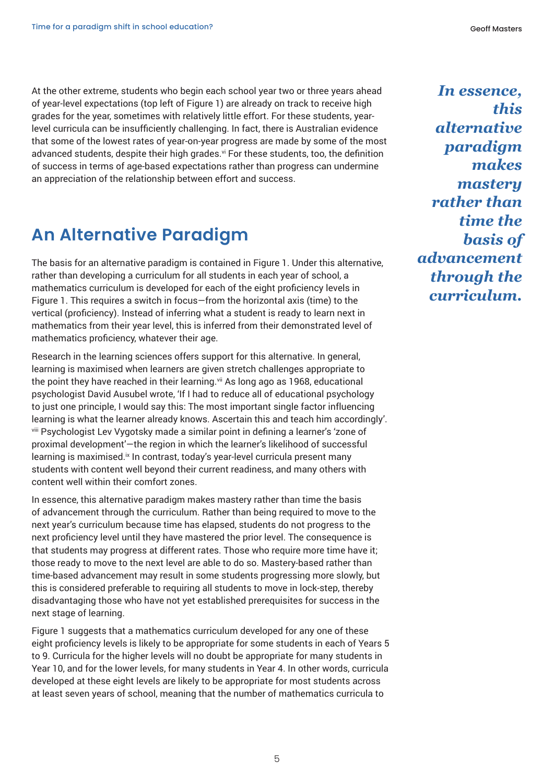At the other extreme, students who begin each school year two or three years ahead of year-level expectations (top left of Figure 1) are already on track to receive high grades for the year, sometimes with relatively little effort. For these students, yearlevel curricula can be insufficiently challenging. In fact, there is Australian evidence that some of the lowest rates of year-on-year progress are made by some of the most advanced students, despite their high grades. $\dot{v}$  For these students, too, the definition of success in terms of age-based expectations rather than progress can undermine an appreciation of the relationship between effort and success.

## **An Alternative Paradigm**

The basis for an alternative paradigm is contained in Figure 1. Under this alternative, rather than developing a curriculum for all students in each year of school, a mathematics curriculum is developed for each of the eight proficiency levels in Figure 1. This requires a switch in focus—from the horizontal axis (time) to the vertical (proficiency). Instead of inferring what a student is ready to learn next in mathematics from their year level, this is inferred from their demonstrated level of mathematics proficiency, whatever their age.

Research in the learning sciences offers support for this alternative. In general, learning is maximised when learners are given stretch challenges appropriate to the point they have reached in their learning.<sup>vii</sup> As long ago as 1968, educational psychologist David Ausubel wrote, 'If I had to reduce all of educational psychology to just one principle, I would say this: The most important single factor influencing learning is what the learner already knows. Ascertain this and teach him accordingly'. viii Psychologist Lev Vygotsky made a similar point in defining a learner's 'zone of proximal development'—the region in which the learner's likelihood of successful learning is maximised.<sup>ix</sup> In contrast, today's year-level curricula present many students with content well beyond their current readiness, and many others with content well within their comfort zones.

In essence, this alternative paradigm makes mastery rather than time the basis of advancement through the curriculum. Rather than being required to move to the next year's curriculum because time has elapsed, students do not progress to the next proficiency level until they have mastered the prior level. The consequence is that students may progress at different rates. Those who require more time have it; those ready to move to the next level are able to do so. Mastery-based rather than time-based advancement may result in some students progressing more slowly, but this is considered preferable to requiring all students to move in lock-step, thereby disadvantaging those who have not yet established prerequisites for success in the next stage of learning.

Figure 1 suggests that a mathematics curriculum developed for any one of these eight proficiency levels is likely to be appropriate for some students in each of Years 5 to 9. Curricula for the higher levels will no doubt be appropriate for many students in Year 10, and for the lower levels, for many students in Year 4. In other words, curricula developed at these eight levels are likely to be appropriate for most students across at least seven years of school, meaning that the number of mathematics curricula to

*In essence, this alternative paradigm makes mastery rather than time the basis of advancement through the curriculum.*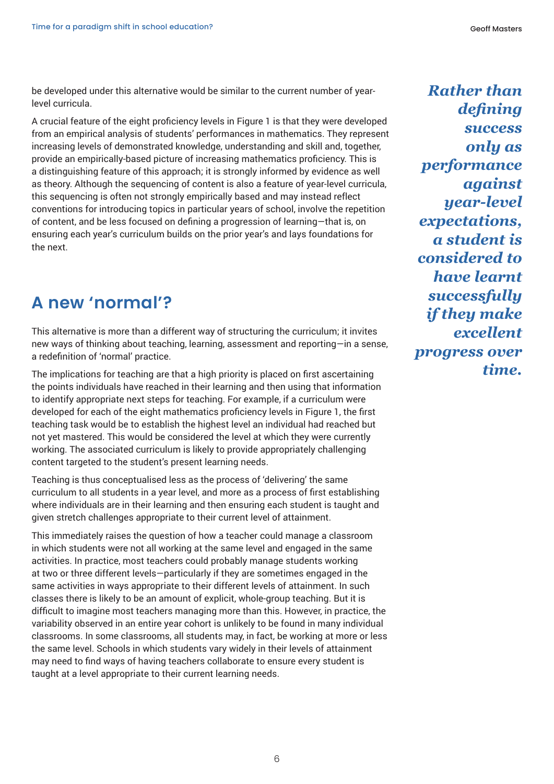be developed under this alternative would be similar to the current number of yearlevel curricula.

A crucial feature of the eight proficiency levels in Figure 1 is that they were developed from an empirical analysis of students' performances in mathematics. They represent increasing levels of demonstrated knowledge, understanding and skill and, together, provide an empirically-based picture of increasing mathematics proficiency. This is a distinguishing feature of this approach; it is strongly informed by evidence as well as theory. Although the sequencing of content is also a feature of year-level curricula, this sequencing is often not strongly empirically based and may instead reflect conventions for introducing topics in particular years of school, involve the repetition of content, and be less focused on defining a progression of learning—that is, on ensuring each year's curriculum builds on the prior year's and lays foundations for the next.

## **A new 'normal'?**

This alternative is more than a different way of structuring the curriculum; it invites new ways of thinking about teaching, learning, assessment and reporting—in a sense, a redefinition of 'normal' practice.

The implications for teaching are that a high priority is placed on first ascertaining the points individuals have reached in their learning and then using that information to identify appropriate next steps for teaching. For example, if a curriculum were developed for each of the eight mathematics proficiency levels in Figure 1, the first teaching task would be to establish the highest level an individual had reached but not yet mastered. This would be considered the level at which they were currently working. The associated curriculum is likely to provide appropriately challenging content targeted to the student's present learning needs.

Teaching is thus conceptualised less as the process of 'delivering' the same curriculum to all students in a year level, and more as a process of first establishing where individuals are in their learning and then ensuring each student is taught and given stretch challenges appropriate to their current level of attainment.

This immediately raises the question of how a teacher could manage a classroom in which students were not all working at the same level and engaged in the same activities. In practice, most teachers could probably manage students working at two or three different levels—particularly if they are sometimes engaged in the same activities in ways appropriate to their different levels of attainment. In such classes there is likely to be an amount of explicit, whole-group teaching. But it is difficult to imagine most teachers managing more than this. However, in practice, the variability observed in an entire year cohort is unlikely to be found in many individual classrooms. In some classrooms, all students may, in fact, be working at more or less the same level. Schools in which students vary widely in their levels of attainment may need to find ways of having teachers collaborate to ensure every student is taught at a level appropriate to their current learning needs.

*Rather than defining success only as performance against year-level expectations, a student is considered to have learnt successfully if they make excellent progress over time.*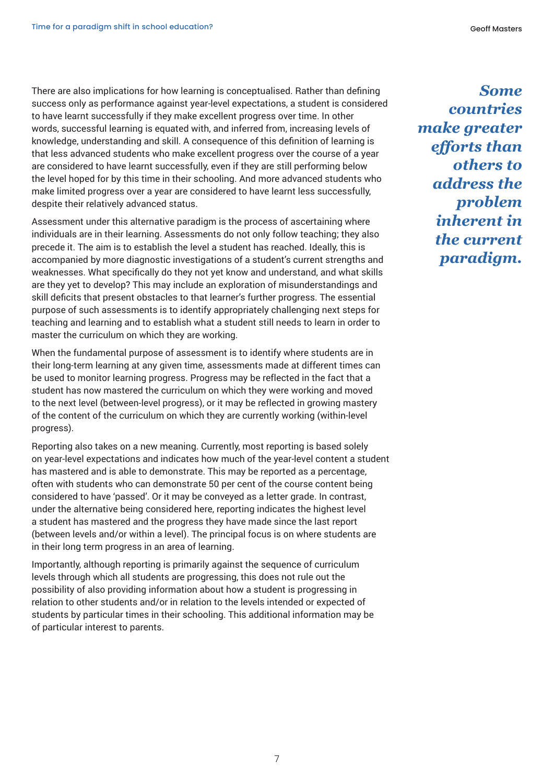There are also implications for how learning is conceptualised. Rather than defining success only as performance against year-level expectations, a student is considered to have learnt successfully if they make excellent progress over time. In other words, successful learning is equated with, and inferred from, increasing levels of knowledge, understanding and skill. A consequence of this definition of learning is that less advanced students who make excellent progress over the course of a year are considered to have learnt successfully, even if they are still performing below the level hoped for by this time in their schooling. And more advanced students who make limited progress over a year are considered to have learnt less successfully, despite their relatively advanced status.

Assessment under this alternative paradigm is the process of ascertaining where individuals are in their learning. Assessments do not only follow teaching; they also precede it. The aim is to establish the level a student has reached. Ideally, this is accompanied by more diagnostic investigations of a student's current strengths and weaknesses. What specifically do they not yet know and understand, and what skills are they yet to develop? This may include an exploration of misunderstandings and skill deficits that present obstacles to that learner's further progress. The essential purpose of such assessments is to identify appropriately challenging next steps for teaching and learning and to establish what a student still needs to learn in order to master the curriculum on which they are working.

When the fundamental purpose of assessment is to identify where students are in their long-term learning at any given time, assessments made at different times can be used to monitor learning progress. Progress may be reflected in the fact that a student has now mastered the curriculum on which they were working and moved to the next level (between-level progress), or it may be reflected in growing mastery of the content of the curriculum on which they are currently working (within-level progress).

Reporting also takes on a new meaning. Currently, most reporting is based solely on year-level expectations and indicates how much of the year-level content a student has mastered and is able to demonstrate. This may be reported as a percentage, often with students who can demonstrate 50 per cent of the course content being considered to have 'passed'. Or it may be conveyed as a letter grade. In contrast, under the alternative being considered here, reporting indicates the highest level a student has mastered and the progress they have made since the last report (between levels and/or within a level). The principal focus is on where students are in their long term progress in an area of learning.

Importantly, although reporting is primarily against the sequence of curriculum levels through which all students are progressing, this does not rule out the possibility of also providing information about how a student is progressing in relation to other students and/or in relation to the levels intended or expected of students by particular times in their schooling. This additional information may be of particular interest to parents.

*Some countries make greater efforts than others to address the problem inherent in the current paradigm.*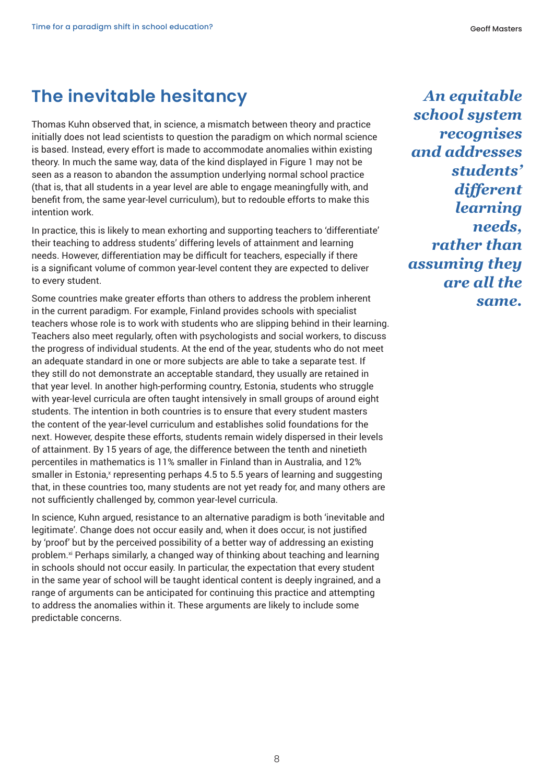# **The inevitable hesitancy**

Thomas Kuhn observed that, in science, a mismatch between theory and practice initially does not lead scientists to question the paradigm on which normal science is based. Instead, every effort is made to accommodate anomalies within existing theory. In much the same way, data of the kind displayed in Figure 1 may not be seen as a reason to abandon the assumption underlying normal school practice (that is, that all students in a year level are able to engage meaningfully with, and benefit from, the same year-level curriculum), but to redouble efforts to make this intention work.

In practice, this is likely to mean exhorting and supporting teachers to 'differentiate' their teaching to address students' differing levels of attainment and learning needs. However, differentiation may be difficult for teachers, especially if there is a significant volume of common year-level content they are expected to deliver to every student.

Some countries make greater efforts than others to address the problem inherent in the current paradigm. For example, Finland provides schools with specialist teachers whose role is to work with students who are slipping behind in their learning. Teachers also meet regularly, often with psychologists and social workers, to discuss the progress of individual students. At the end of the year, students who do not meet an adequate standard in one or more subjects are able to take a separate test. If they still do not demonstrate an acceptable standard, they usually are retained in that year level. In another high-performing country, Estonia, students who struggle with year-level curricula are often taught intensively in small groups of around eight students. The intention in both countries is to ensure that every student masters the content of the year-level curriculum and establishes solid foundations for the next. However, despite these efforts, students remain widely dispersed in their levels of attainment. By 15 years of age, the difference between the tenth and ninetieth percentiles in mathematics is 11% smaller in Finland than in Australia, and 12% smaller in Estonia,<sup>x</sup> representing perhaps 4.5 to 5.5 years of learning and suggesting that, in these countries too, many students are not yet ready for, and many others are not sufficiently challenged by, common year-level curricula.

In science, Kuhn argued, resistance to an alternative paradigm is both 'inevitable and legitimate'. Change does not occur easily and, when it does occur, is not justified by 'proof' but by the perceived possibility of a better way of addressing an existing problem.<sup>xi</sup> Perhaps similarly, a changed way of thinking about teaching and learning in schools should not occur easily. In particular, the expectation that every student in the same year of school will be taught identical content is deeply ingrained, and a range of arguments can be anticipated for continuing this practice and attempting to address the anomalies within it. These arguments are likely to include some predictable concerns.

*An equitable school system recognises and addresses students' different learning needs, rather than assuming they are all the same.*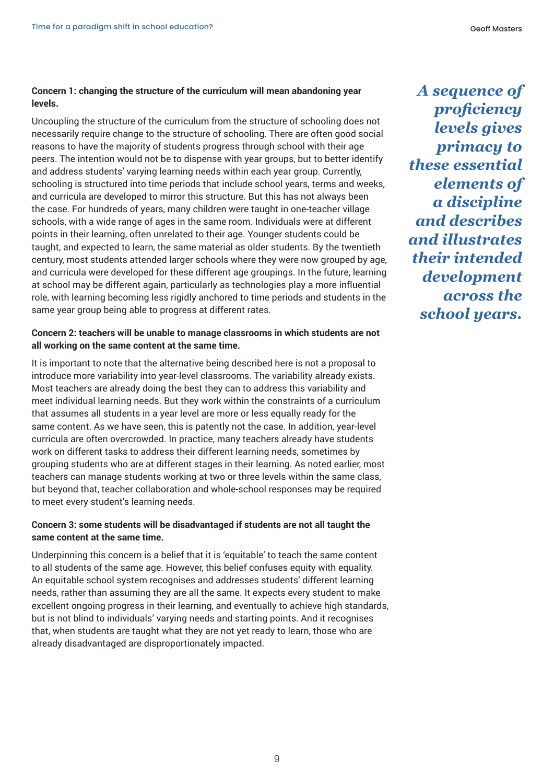#### **Concern 1: changing the structure of the curriculum will mean abandoning year levels.**

Uncoupling the structure of the curriculum from the structure of schooling does not necessarily require change to the structure of schooling. There are often good social reasons to have the majority of students progress through school with their age peers. The intention would not be to dispense with year groups, but to better identify and address students' varying learning needs within each year group. Currently, schooling is structured into time periods that include school years, terms and weeks, and curricula are developed to mirror this structure. But this has not always been the case. For hundreds of years, many children were taught in one-teacher village schools, with a wide range of ages in the same room. Individuals were at different points in their learning, often unrelated to their age. Younger students could be taught, and expected to learn, the same material as older students. By the twentieth century, most students attended larger schools where they were now grouped by age, and curricula were developed for these different age groupings. In the future, learning at school may be different again, particularly as technologies play a more influential role, with learning becoming less rigidly anchored to time periods and students in the same year group being able to progress at different rates.

### **Concern 2: teachers will be unable to manage classrooms in which students are not all working on the same content at the same time.**

It is important to note that the alternative being described here is not a proposal to introduce more variability into year-level classrooms. The variability already exists. Most teachers are already doing the best they can to address this variability and meet individual learning needs. But they work within the constraints of a curriculum that assumes all students in a year level are more or less equally ready for the same content. As we have seen, this is patently not the case. In addition, year-level curricula are often overcrowded. In practice, many teachers already have students work on different tasks to address their different learning needs, sometimes by grouping students who are at different stages in their learning. As noted earlier, most teachers can manage students working at two or three levels within the same class, but beyond that, teacher collaboration and whole-school responses may be required to meet every student's learning needs.

## **Concern 3: some students will be disadvantaged if students are not all taught the same content at the same time.**

Underpinning this concern is a belief that it is 'equitable' to teach the same content to all students of the same age. However, this belief confuses equity with equality. An equitable school system recognises and addresses students' different learning needs, rather than assuming they are all the same. It expects every student to make excellent ongoing progress in their learning, and eventually to achieve high standards, but is not blind to individuals' varying needs and starting points. And it recognises that, when students are taught what they are not yet ready to learn, those who are already disadvantaged are disproportionately impacted.

*A sequence of proficiency levels gives primacy to these essential elements of a discipline and describes and illustrates their intended development across the school years.*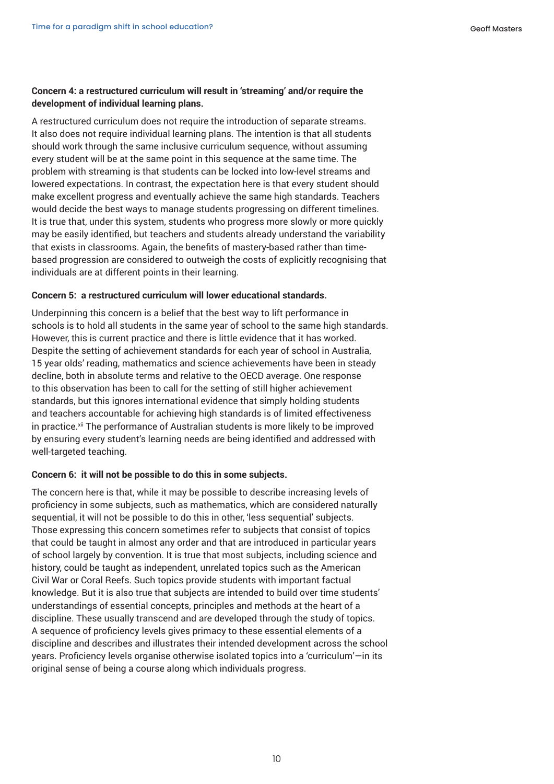#### **Concern 4: a restructured curriculum will result in 'streaming' and/or require the development of individual learning plans.**

A restructured curriculum does not require the introduction of separate streams. It also does not require individual learning plans. The intention is that all students should work through the same inclusive curriculum sequence, without assuming every student will be at the same point in this sequence at the same time. The problem with streaming is that students can be locked into low-level streams and lowered expectations. In contrast, the expectation here is that every student should make excellent progress and eventually achieve the same high standards. Teachers would decide the best ways to manage students progressing on different timelines. It is true that, under this system, students who progress more slowly or more quickly may be easily identified, but teachers and students already understand the variability that exists in classrooms. Again, the benefits of mastery-based rather than timebased progression are considered to outweigh the costs of explicitly recognising that individuals are at different points in their learning.

#### **Concern 5: a restructured curriculum will lower educational standards.**

Underpinning this concern is a belief that the best way to lift performance in schools is to hold all students in the same year of school to the same high standards. However, this is current practice and there is little evidence that it has worked. Despite the setting of achievement standards for each year of school in Australia, 15 year olds' reading, mathematics and science achievements have been in steady decline, both in absolute terms and relative to the OECD average. One response to this observation has been to call for the setting of still higher achievement standards, but this ignores international evidence that simply holding students and teachers accountable for achieving high standards is of limited effectiveness in practice.<sup>xii</sup> The performance of Australian students is more likely to be improved by ensuring every student's learning needs are being identified and addressed with well-targeted teaching.

#### **Concern 6: it will not be possible to do this in some subjects.**

The concern here is that, while it may be possible to describe increasing levels of proficiency in some subjects, such as mathematics, which are considered naturally sequential, it will not be possible to do this in other, 'less sequential' subjects. Those expressing this concern sometimes refer to subjects that consist of topics that could be taught in almost any order and that are introduced in particular years of school largely by convention. It is true that most subjects, including science and history, could be taught as independent, unrelated topics such as the American Civil War or Coral Reefs. Such topics provide students with important factual knowledge. But it is also true that subjects are intended to build over time students' understandings of essential concepts, principles and methods at the heart of a discipline. These usually transcend and are developed through the study of topics. A sequence of proficiency levels gives primacy to these essential elements of a discipline and describes and illustrates their intended development across the school years. Proficiency levels organise otherwise isolated topics into a 'curriculum'—in its original sense of being a course along which individuals progress.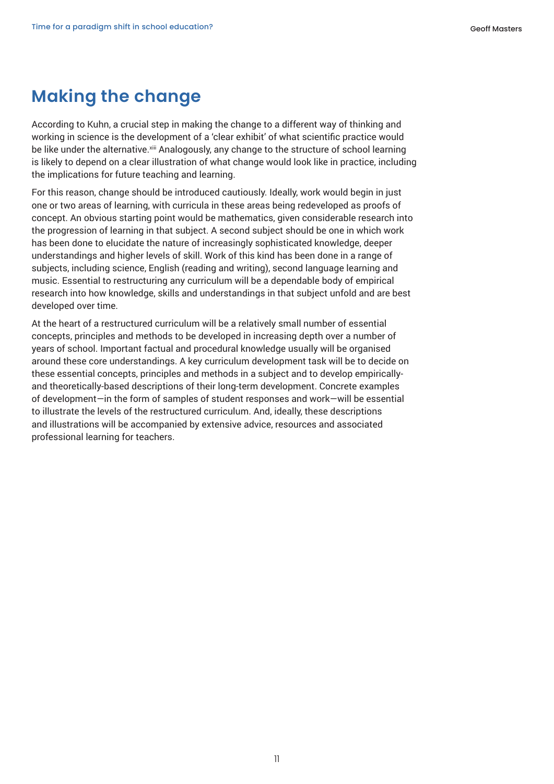# **Making the change**

According to Kuhn, a crucial step in making the change to a different way of thinking and working in science is the development of a 'clear exhibit' of what scientific practice would be like under the alternative. Xiii Analogously, any change to the structure of school learning is likely to depend on a clear illustration of what change would look like in practice, including the implications for future teaching and learning.

For this reason, change should be introduced cautiously. Ideally, work would begin in just one or two areas of learning, with curricula in these areas being redeveloped as proofs of concept. An obvious starting point would be mathematics, given considerable research into the progression of learning in that subject. A second subject should be one in which work has been done to elucidate the nature of increasingly sophisticated knowledge, deeper understandings and higher levels of skill. Work of this kind has been done in a range of subjects, including science, English (reading and writing), second language learning and music. Essential to restructuring any curriculum will be a dependable body of empirical research into how knowledge, skills and understandings in that subject unfold and are best developed over time.

At the heart of a restructured curriculum will be a relatively small number of essential concepts, principles and methods to be developed in increasing depth over a number of years of school. Important factual and procedural knowledge usually will be organised around these core understandings. A key curriculum development task will be to decide on these essential concepts, principles and methods in a subject and to develop empiricallyand theoretically-based descriptions of their long-term development. Concrete examples of development—in the form of samples of student responses and work—will be essential to illustrate the levels of the restructured curriculum. And, ideally, these descriptions and illustrations will be accompanied by extensive advice, resources and associated professional learning for teachers.